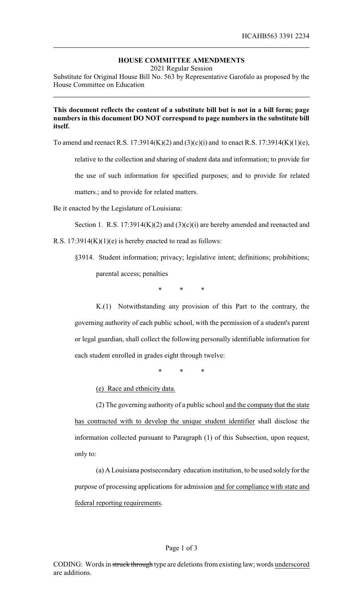## **HOUSE COMMITTEE AMENDMENTS**

2021 Regular Session

Substitute for Original House Bill No. 563 by Representative Garofalo as proposed by the House Committee on Education

## **This document reflects the content of a substitute bill but is not in a bill form; page numbers in this document DO NOT correspond to page numbers in the substitute bill itself.**

To amend and reenact R.S. 17:3914(K)(2) and (3)(c)(i) and to enact R.S. 17:3914(K)(1)(e),

relative to the collection and sharing of student data and information; to provide for the use of such information for specified purposes; and to provide for related

matters.; and to provide for related matters.

Be it enacted by the Legislature of Louisiana:

Section 1. R.S.  $17:3914(K)(2)$  and  $(3)(c)(i)$  are hereby amended and reenacted and

R.S.  $17:3914(K)(1)(e)$  is hereby enacted to read as follows:

§3914. Student information; privacy; legislative intent; definitions; prohibitions; parental access; penalties

\* \* \*

K.(1) Notwithstanding any provision of this Part to the contrary, the governing authority of each public school, with the permission of a student's parent or legal guardian, shall collect the following personally identifiable information for each student enrolled in grades eight through twelve:

\* \* \*

(e) Race and ethnicity data.

(2) The governing authority of a public school and the company that the state has contracted with to develop the unique student identifier shall disclose the information collected pursuant to Paragraph (1) of this Subsection, upon request, only to:

(a) A Louisiana postsecondary education institution, to be used solely for the purpose of processing applications for admission and for compliance with state and federal reporting requirements.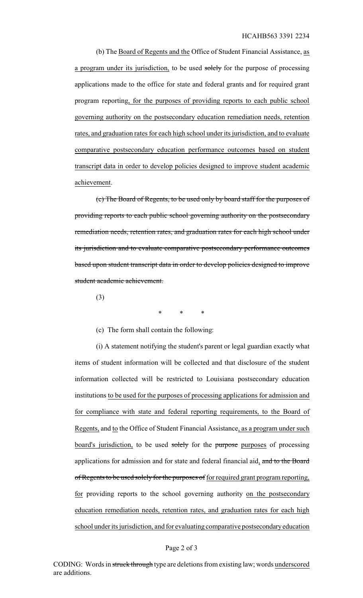(b) The Board of Regents and the Office of Student Financial Assistance, as a program under its jurisdiction, to be used solely for the purpose of processing applications made to the office for state and federal grants and for required grant program reporting, for the purposes of providing reports to each public school governing authority on the postsecondary education remediation needs, retention rates, and graduation rates for each high school under its jurisdiction, and to evaluate comparative postsecondary education performance outcomes based on student transcript data in order to develop policies designed to improve student academic achievement.

(c) The Board of Regents, to be used only by board staff for the purposes of providing reports to each public school governing authority on the postsecondary remediation needs, retention rates, and graduation rates for each high school under its jurisdiction and to evaluate comparative postsecondary performance outcomes based upon student transcript data in order to develop policies designed to improve student academic achievement.

(3)

\* \* \*

(c) The form shall contain the following:

(i) A statement notifying the student's parent or legal guardian exactly what items of student information will be collected and that disclosure of the student information collected will be restricted to Louisiana postsecondary education institutions to be used for the purposes of processing applications for admission and for compliance with state and federal reporting requirements, to the Board of Regents, and to the Office of Student Financial Assistance, as a program under such board's jurisdiction, to be used solely for the purpose purposes of processing applications for admission and for state and federal financial aid, and to the Board of Regents to be used solely for the purposes of for required grant program reporting, for providing reports to the school governing authority on the postsecondary education remediation needs, retention rates, and graduation rates for each high school under its jurisdiction, and for evaluating comparative postsecondaryeducation

## Page 2 of 3